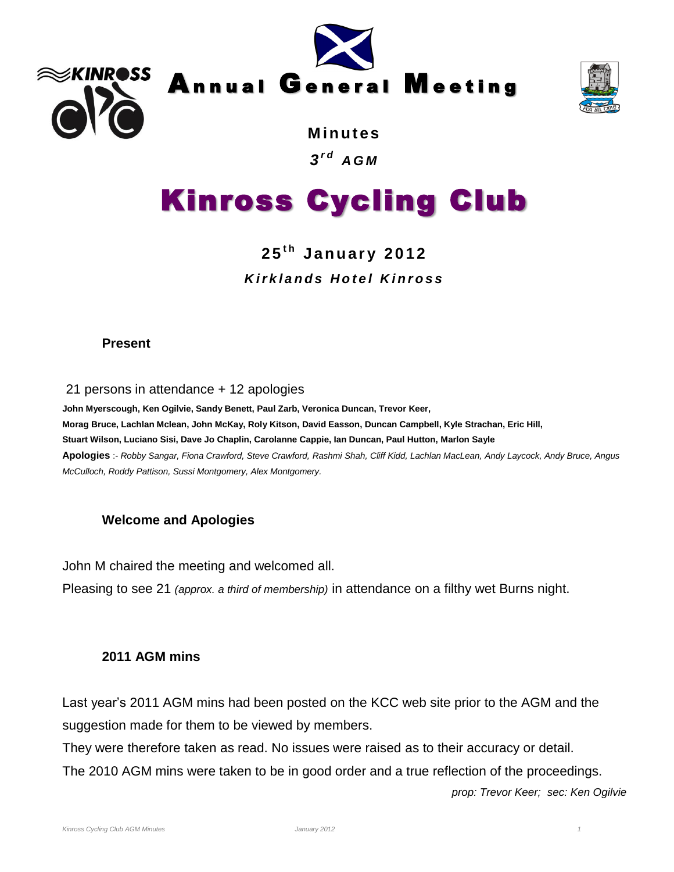





**M i n ut es** *3 r d A G M*

# Kinross Cycling Club

### **2 5 t h Ja n u ar y 2012** *K i r k l a n d s H o t e l K i n r o s s*

#### **Present**

21 persons in attendance + 12 apologies

**John Myerscough, Ken Ogilvie, Sandy Benett, Paul Zarb, Veronica Duncan, Trevor Keer, Morag Bruce, Lachlan Mclean, John McKay, Roly Kitson, David Easson, Duncan Campbell, Kyle Strachan, Eric Hill, Stuart Wilson, Luciano Sisi, Dave Jo Chaplin, Carolanne Cappie, Ian Duncan, Paul Hutton, Marlon Sayle Apologies** :- *Robby Sangar, Fiona Crawford, Steve Crawford, Rashmi Shah, Cliff Kidd, Lachlan MacLean, Andy Laycock, Andy Bruce, Angus McCulloch, Roddy Pattison, Sussi Montgomery, Alex Montgomery.*

### **Welcome and Apologies**

John M chaired the meeting and welcomed all.

Pleasing to see 21 *(approx. a third of membership)* in attendance on a filthy wet Burns night.

#### **2011 AGM mins**

Last year's 2011 AGM mins had been posted on the KCC web site prior to the AGM and the suggestion made for them to be viewed by members.

They were therefore taken as read. No issues were raised as to their accuracy or detail.

The 2010 AGM mins were taken to be in good order and a true reflection of the proceedings.

*prop: Trevor Keer; sec: Ken Ogilvie*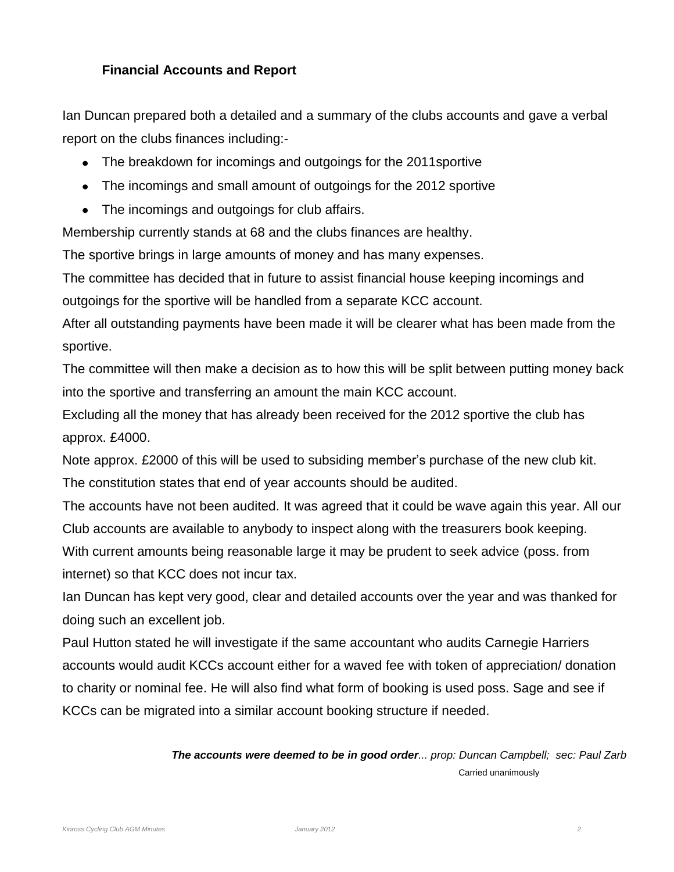#### **Financial Accounts and Report**

Ian Duncan prepared both a detailed and a summary of the clubs accounts and gave a verbal report on the clubs finances including:-

- The breakdown for incomings and outgoings for the 2011 sportive
- The incomings and small amount of outgoings for the 2012 sportive
- The incomings and outgoings for club affairs.

Membership currently stands at 68 and the clubs finances are healthy.

The sportive brings in large amounts of money and has many expenses.

The committee has decided that in future to assist financial house keeping incomings and outgoings for the sportive will be handled from a separate KCC account.

After all outstanding payments have been made it will be clearer what has been made from the sportive.

The committee will then make a decision as to how this will be split between putting money back into the sportive and transferring an amount the main KCC account.

Excluding all the money that has already been received for the 2012 sportive the club has approx. £4000.

Note approx. £2000 of this will be used to subsiding member's purchase of the new club kit. The constitution states that end of year accounts should be audited.

The accounts have not been audited. It was agreed that it could be wave again this year. All our Club accounts are available to anybody to inspect along with the treasurers book keeping. With current amounts being reasonable large it may be prudent to seek advice (poss. from internet) so that KCC does not incur tax.

Ian Duncan has kept very good, clear and detailed accounts over the year and was thanked for doing such an excellent job.

Paul Hutton stated he will investigate if the same accountant who audits Carnegie Harriers accounts would audit KCCs account either for a waved fee with token of appreciation/ donation to charity or nominal fee. He will also find what form of booking is used poss. Sage and see if KCCs can be migrated into a similar account booking structure if needed.

> *The accounts were deemed to be in good order... prop: Duncan Campbell; sec: Paul Zarb* Carried unanimously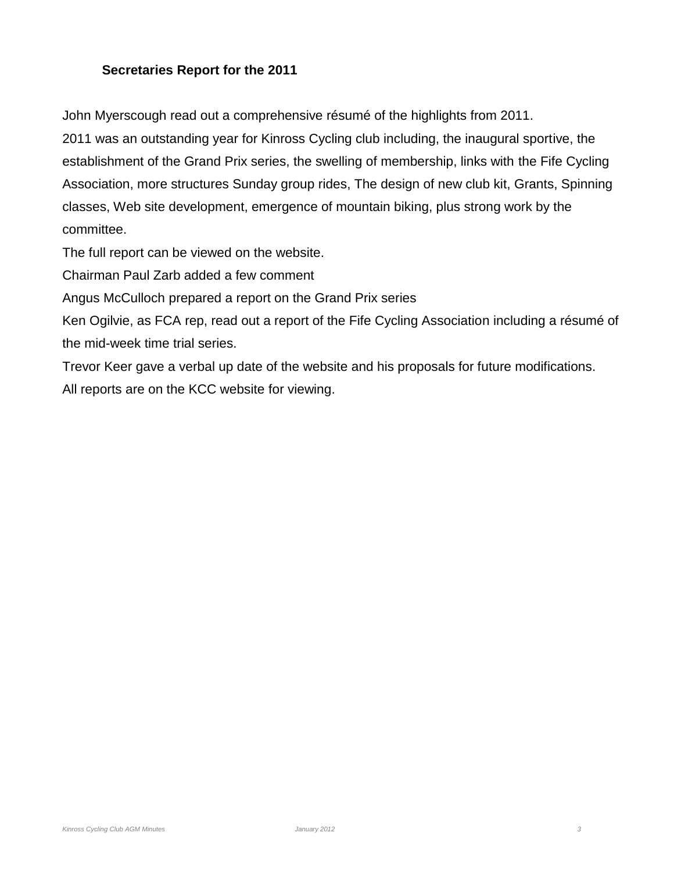#### **Secretaries Report for the 2011**

John Myerscough read out a comprehensive résumé of the highlights from 2011.

2011 was an outstanding year for Kinross Cycling club including, the inaugural sportive, the establishment of the Grand Prix series, the swelling of membership, links with the Fife Cycling Association, more structures Sunday group rides, The design of new club kit, Grants, Spinning classes, Web site development, emergence of mountain biking, plus strong work by the committee.

The full report can be viewed on the website.

Chairman Paul Zarb added a few comment

Angus McCulloch prepared a report on the Grand Prix series

Ken Ogilvie, as FCA rep, read out a report of the Fife Cycling Association including a résumé of the mid-week time trial series.

Trevor Keer gave a verbal up date of the website and his proposals for future modifications. All reports are on the KCC website for viewing.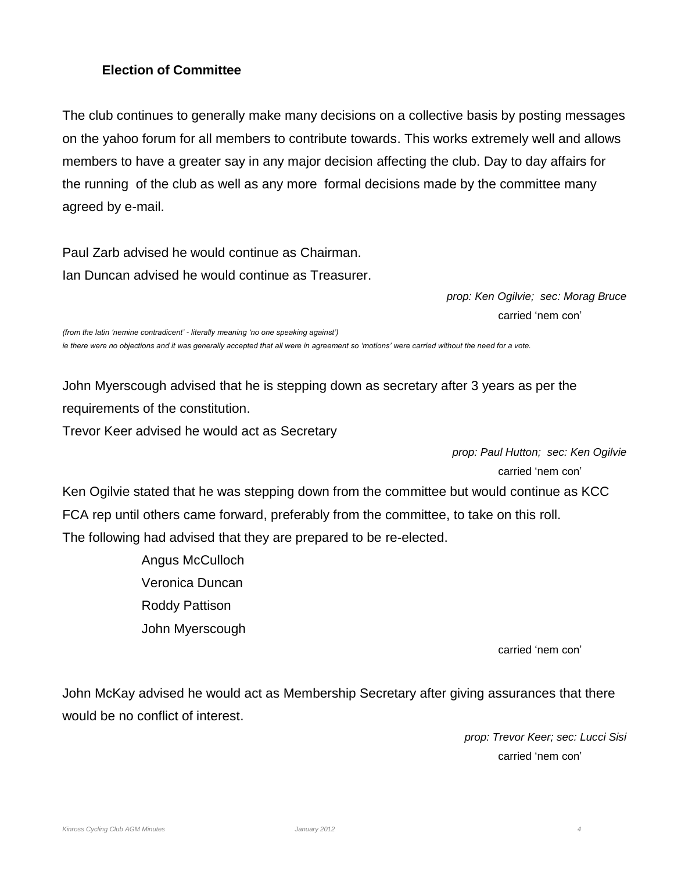#### **Election of Committee**

The club continues to generally make many decisions on a collective basis by posting messages on the yahoo forum for all members to contribute towards. This works extremely well and allows members to have a greater say in any major decision affecting the club. Day to day affairs for the running of the club as well as any more formal decisions made by the committee many agreed by e-mail.

Paul Zarb advised he would continue as Chairman. Ian Duncan advised he would continue as Treasurer.

> *prop: Ken Ogilvie; sec: Morag Bruce* carried 'nem con'

*(from the latin 'nemine contradicent' - literally meaning 'no one speaking against') ie there were no objections and it was generally accepted that all were in agreement so 'motions' were carried without the need for a vote.*

John Myerscough advised that he is stepping down as secretary after 3 years as per the requirements of the constitution.

Trevor Keer advised he would act as Secretary

*prop: Paul Hutton; sec: Ken Ogilvie* carried 'nem con'

Ken Ogilvie stated that he was stepping down from the committee but would continue as KCC FCA rep until others came forward, preferably from the committee, to take on this roll. The following had advised that they are prepared to be re-elected.

> Angus McCulloch Veronica Duncan Roddy Pattison John Myerscough

> > carried 'nem con'

John McKay advised he would act as Membership Secretary after giving assurances that there would be no conflict of interest.

> *prop: Trevor Keer; sec: Lucci Sisi* carried 'nem con'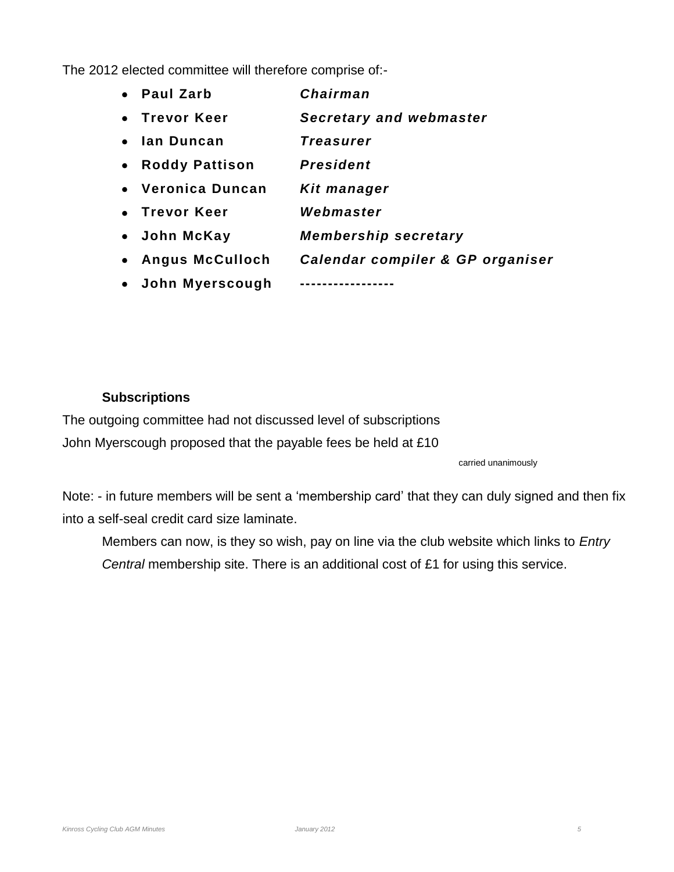The 2012 elected committee will therefore comprise of:-

|           | • Paul Zarb            | Chairman                         |
|-----------|------------------------|----------------------------------|
|           | • Trevor Keer          | <b>Secretary and webmaster</b>   |
|           | • Ian Duncan           | Treasurer                        |
|           | • Roddy Pattison       | President                        |
|           | • Veronica Duncan      | Kit manager                      |
|           | • Trevor Keer          | Webmaster                        |
|           | • John McKay           | <b>Membership secretary</b>      |
| $\bullet$ | <b>Angus McCulloch</b> | Calendar compiler & GP organiser |
|           | • John Myerscough      |                                  |

#### **Subscriptions**

The outgoing committee had not discussed level of subscriptions John Myerscough proposed that the payable fees be held at £10

carried unanimously

Note: - in future members will be sent a 'membership card' that they can duly signed and then fix into a self-seal credit card size laminate.

Members can now, is they so wish, pay on line via the club website which links to *Entry Central* membership site. There is an additional cost of £1 for using this service.